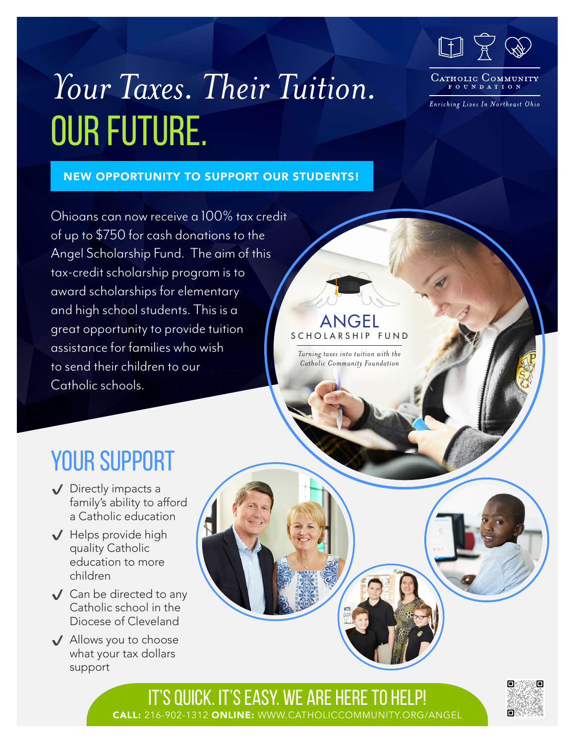

# *Your Taxes. Their Tuition.*  Our Future.

NEW OPPORTUNITY TO SUPPORT OUR STUDENTS!

#### CATHOLIC COMMUNIT FOUNDATION

Enriching Lives In Northeast Ohio

Ohioans can now receive a 100% tax credit of up to \$750 for cash donations to the Angel Scholarship Fund. The aim of this tax-credit scholarship program is to award scholarships for elementary and high school students. This is a great opportunity to provide tuition assistance for families who wish to send their children to our Catholic schools.

### angel S C H O L A R S H I P F U N D

*Turning taxes into tuition with the Catholic Community Foundation*

## YOUR SUPPORT

- ✔ Directly impacts a family's ability to afford a Catholic education
- ✔ Helps provide high quality Catholic education to more children
- $\sqrt{\phantom{a}}$  Can be directed to any Catholic school in the Diocese of Cleveland
- ✔ Allows you to choose what your tax dollars support

IT'S QUICK. IT'S EASY. WE ARE HERE TO HELP! CALL: 216-902-1312 ONLINE: WWW.CATHOLICCOMMUNITY.ORG/ANGEL